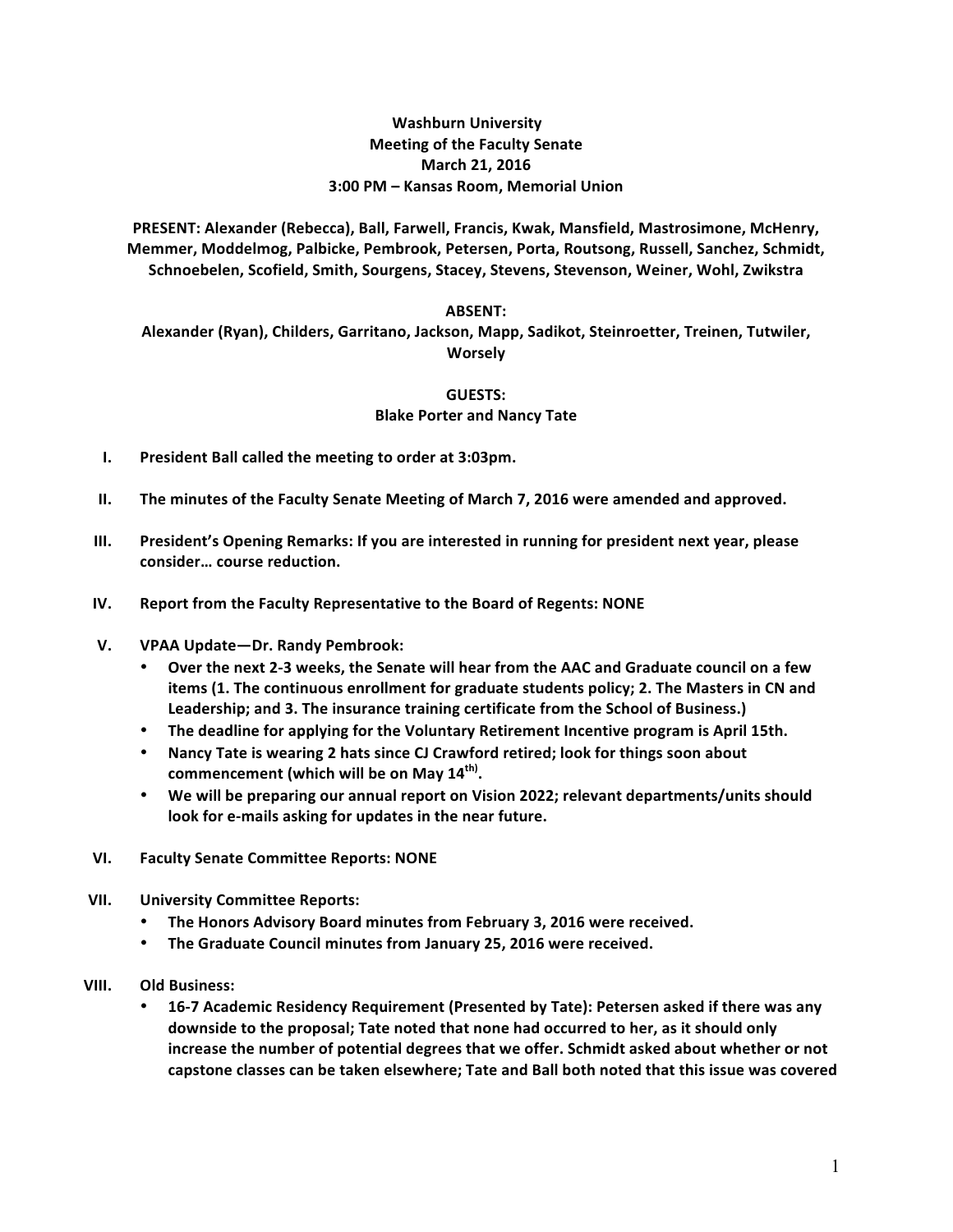## **Washburn University Meeting of the Faculty Senate March 21, 2016 3:00 PM – Kansas Room, Memorial Union**

PRESENT: Alexander (Rebecca), Ball, Farwell, Francis, Kwak, Mansfield, Mastrosimone, McHenry, Memmer, Moddelmog, Palbicke, Pembrook, Petersen, Porta, Routsong, Russell, Sanchez, Schmidt, Schnoebelen, Scofield, Smith, Sourgens, Stacey, Stevens, Stevenson, Weiner, Wohl, Zwikstra

## **ABSENT:**

Alexander (Ryan), Childers, Garritano, Jackson, Mapp, Sadikot, Steinroetter, Treinen, Tutwiler, **Worsely**

## **GUESTS:**

## **Blake Porter and Nancy Tate**

- **I.** President Ball called the meeting to order at 3:03pm.
- **II.** The minutes of the Faculty Senate Meeting of March 7, 2016 were amended and approved.
- **III.** President's Opening Remarks: If you are interested in running for president next year, please consider... course reduction.
- **IV.** Report from the Faculty Representative to the Board of Regents: NONE
- **V. VPAA Update—Dr. Randy Pembrook:**
	- \* Over the next 2-3 weeks, the Senate will hear from the AAC and Graduate council on a few items (1. The continuous enrollment for graduate students policy; 2. The Masters in CN and Leadership; and 3. The insurance training certificate from the School of Business.)
	- The deadline for applying for the Voluntary Retirement Incentive program is April 15th.
	- Nancy Tate is wearing 2 hats since CJ Crawford retired; look for things soon about  ${\sf commencerent}$  (which will be on May  $\mathbf{14}^{\sf th}$ ).
	- We will be preparing our annual report on Vision 2022; relevant departments/units should look for e-mails asking for updates in the near future.
- **VI. Faculty Senate Committee Reports: NONE**
- **VII. University Committee Reports:**
	- The Honors Advisory Board minutes from February 3, 2016 were received.
	- The Graduate Council minutes from January 25, 2016 were received.
- **VIII. Old Business:** 
	- 16-7 Academic Residency Requirement (Presented by Tate): Petersen asked if there was any **downside to the proposal; Tate noted that none had occurred to her, as it should only** increase the number of potential degrees that we offer. Schmidt asked about whether or not capstone classes can be taken elsewhere; Tate and Ball both noted that this issue was covered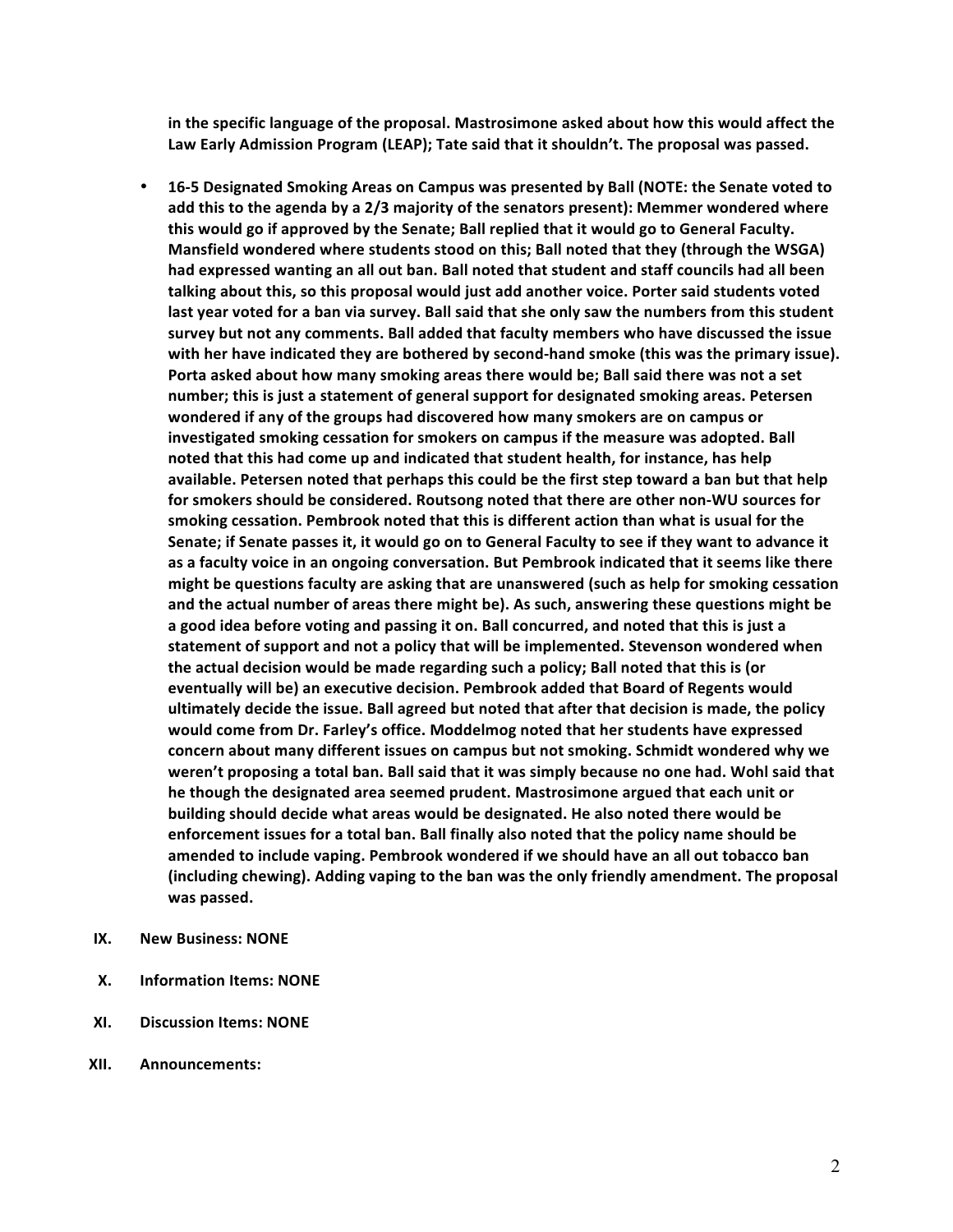**in the specific language of the proposal. Mastrosimone asked about how this would affect the**  Law Early Admission Program (LEAP); Tate said that it shouldn't. The proposal was passed.

- 16-5 Designated Smoking Areas on Campus was presented by Ball (NOTE: the Senate voted to **add this to the agenda by a 2/3 majority of the senators present): Memmer wondered where this would go if approved by the Senate; Ball replied that it would go to General Faculty. Mansfield wondered where students stood on this; Ball noted that they (through the WSGA)** had expressed wanting an all out ban. Ball noted that student and staff councils had all been talking about this, so this proposal would just add another voice. Porter said students voted last year voted for a ban via survey. Ball said that she only saw the numbers from this student survey but not any comments. Ball added that faculty members who have discussed the issue with her have indicated they are bothered by second-hand smoke (this was the primary issue). Porta asked about how many smoking areas there would be; Ball said there was not a set number; this is just a statement of general support for designated smoking areas. Petersen wondered if any of the groups had discovered how many smokers are on campus or investigated smoking cessation for smokers on campus if the measure was adopted. Ball noted that this had come up and indicated that student health, for instance, has help available. Petersen noted that perhaps this could be the first step toward a ban but that help for smokers should be considered. Routsong noted that there are other non-WU sources for smoking cessation. Pembrook noted that this is different action than what is usual for the Senate; if Senate passes it, it would go on to General Faculty to see if they want to advance it as a faculty voice in an ongoing conversation. But Pembrook indicated that it seems like there **might** be questions faculty are asking that are unanswered (such as help for smoking cessation and the actual number of areas there might be). As such, answering these questions might be a good idea before voting and passing it on. Ball concurred, and noted that this is just a statement of support and not a policy that will be implemented. Stevenson wondered when the actual decision would be made regarding such a policy; Ball noted that this is (or eventually will be) an executive decision. Pembrook added that Board of Regents would ultimately decide the issue. Ball agreed but noted that after that decision is made, the policy would come from Dr. Farley's office. Moddelmog noted that her students have expressed concern about many different issues on campus but not smoking. Schmidt wondered why we weren't proposing a total ban. Ball said that it was simply because no one had. Wohl said that he though the designated area seemed prudent. Mastrosimone argued that each unit or building should decide what areas would be designated. He also noted there would be enforcement issues for a total ban. Ball finally also noted that the policy name should be amended to include vaping. Pembrook wondered if we should have an all out tobacco ban (including chewing). Adding vaping to the ban was the only friendly amendment. The proposal was passed.
- **IX.** New Business: NONE
- **X. Information Items: NONE**
- **XI. Discussion Items: NONE**
- **XII. Announcements:**